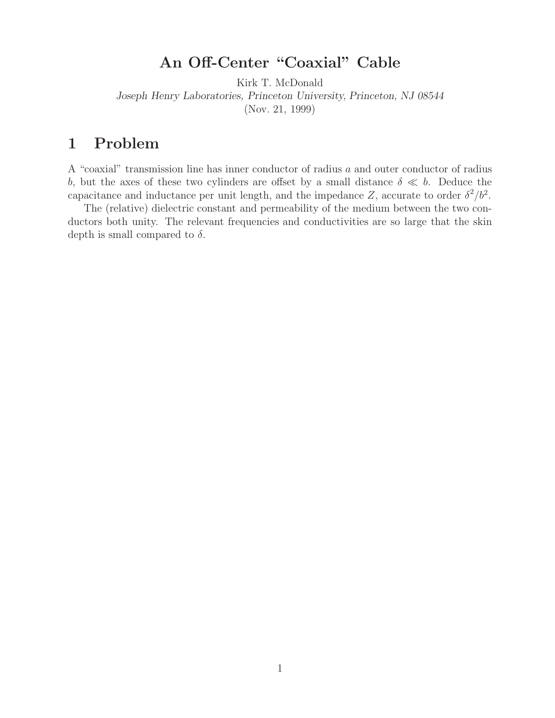# **An Off-Center "Coaxial" Cable**

Kirk T. McDonald *Joseph Henry Laboratories, Princeton University, Princeton, NJ 08544* (Nov. 21, 1999)

### **1 Problem**

A "coaxial" transmission line has inner conductor of radius a and outer conductor of radius b, but the axes of these two cylinders are offset by a small distance  $\delta \ll b$ . Deduce the capacitance and inductance per unit length, and the impedance Z, accurate to order  $\delta^2/b^2$ .

The (relative) dielectric constant and permeability of the medium between the two conductors both unity. The relevant frequencies and conductivities are so large that the skin depth is small compared to  $\delta$ .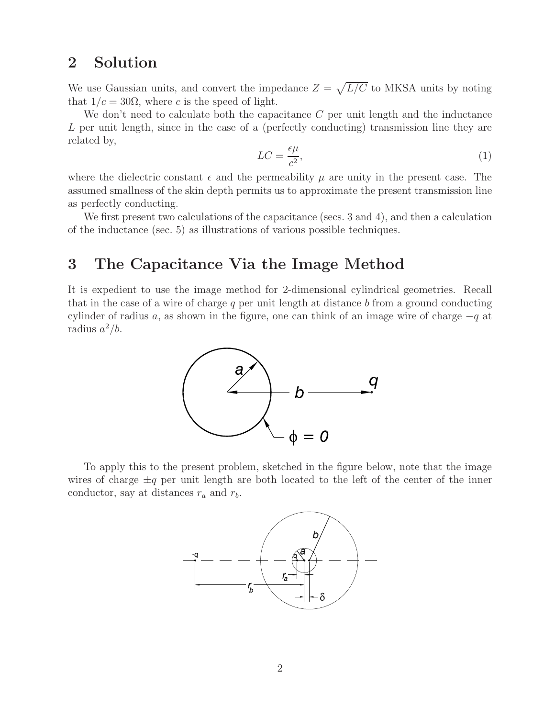## **2 Solution**

We use Gaussian units, and convert the impedance  $Z = \sqrt{L/C}$  to MKSA units by noting that  $1/c = 30\Omega$ , where c is the speed of light.

We don't need to calculate both the capacitance  $C$  per unit length and the inductance L per unit length, since in the case of a (perfectly conducting) transmission line they are related by,

$$
LC = \frac{\epsilon \mu}{c^2},\tag{1}
$$

where the dielectric constant  $\epsilon$  and the permeability  $\mu$  are unity in the present case. The assumed smallness of the skin depth permits us to approximate the present transmission line as perfectly conducting.

We first present two calculations of the capacitance (secs. 3 and 4), and then a calculation of the inductance (sec. 5) as illustrations of various possible techniques.

#### **3 The Capacitance Via the Image Method**

It is expedient to use the image method for 2-dimensional cylindrical geometries. Recall that in the case of a wire of charge  $q$  per unit length at distance  $b$  from a ground conducting cylinder of radius a, as shown in the figure, one can think of an image wire of charge  $-q$  at radius  $a^2/b$ .



To apply this to the present problem, sketched in the figure below, note that the image wires of charge  $\pm q$  per unit length are both located to the left of the center of the inner conductor, say at distances  $r_a$  and  $r_b$ .

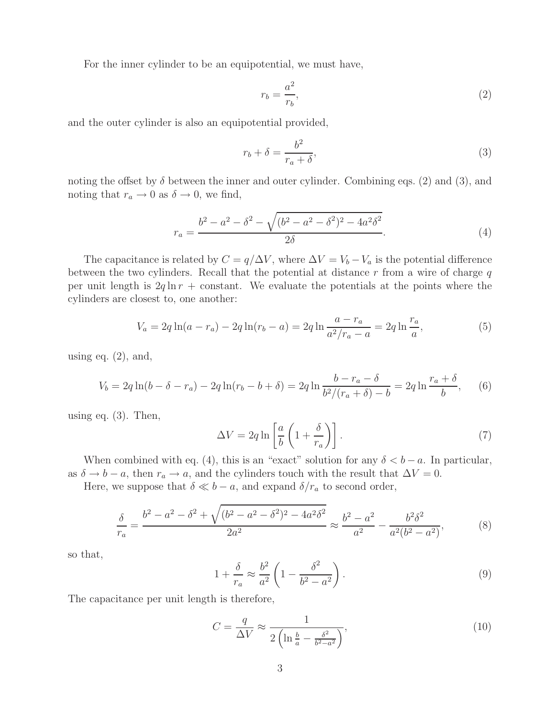For the inner cylinder to be an equipotential, we must have,

$$
r_b = \frac{a^2}{r_b},\tag{2}
$$

and the outer cylinder is also an equipotential provided,

$$
r_b + \delta = \frac{b^2}{r_a + \delta},\tag{3}
$$

noting the offset by  $\delta$  between the inner and outer cylinder. Combining eqs. (2) and (3), and noting that  $r_a \to 0$  as  $\delta \to 0$ , we find,

$$
r_a = \frac{b^2 - a^2 - \delta^2 - \sqrt{(b^2 - a^2 - \delta^2)^2 - 4a^2 \delta^2}}{2\delta}.
$$
\n(4)

The capacitance is related by  $C = q/\Delta V$ , where  $\Delta V = V_b - V_a$  is the potential difference between the two cylinders. Recall that the potential at distance  $r$  from a wire of charge  $q$ per unit length is  $2q \ln r$  + constant. We evaluate the potentials at the points where the cylinders are closest to, one another:

$$
V_a = 2q \ln(a - r_a) - 2q \ln(r_b - a) = 2q \ln \frac{a - r_a}{a^2/r_a - a} = 2q \ln \frac{r_a}{a},
$$
\n(5)

using eq.  $(2)$ , and,

$$
V_b = 2q \ln(b - \delta - r_a) - 2q \ln(r_b - b + \delta) = 2q \ln \frac{b - r_a - \delta}{b^2/(r_a + \delta) - b} = 2q \ln \frac{r_a + \delta}{b}, \quad (6)
$$

using eq. (3). Then,

$$
\Delta V = 2q \ln \left[ \frac{a}{b} \left( 1 + \frac{\delta}{r_a} \right) \right]. \tag{7}
$$

When combined with eq. (4), this is an "exact" solution for any  $\delta < b - a$ . In particular, as  $\delta \to b - a$ , then  $r_a \to a$ , and the cylinders touch with the result that  $\Delta V = 0$ .

Here, we suppose that  $\delta \ll b - a$ , and expand  $\delta / r_a$  to second order,

$$
\frac{\delta}{r_a} = \frac{b^2 - a^2 - \delta^2 + \sqrt{(b^2 - a^2 - \delta^2)^2 - 4a^2 \delta^2}}{2a^2} \approx \frac{b^2 - a^2}{a^2} - \frac{b^2 \delta^2}{a^2 (b^2 - a^2)},\tag{8}
$$

so that,

$$
1 + \frac{\delta}{r_a} \approx \frac{b^2}{a^2} \left( 1 - \frac{\delta^2}{b^2 - a^2} \right). \tag{9}
$$

The capacitance per unit length is therefore,

$$
C = \frac{q}{\Delta V} \approx \frac{1}{2\left(\ln\frac{b}{a} - \frac{\delta^2}{b^2 - a^2}\right)},\tag{10}
$$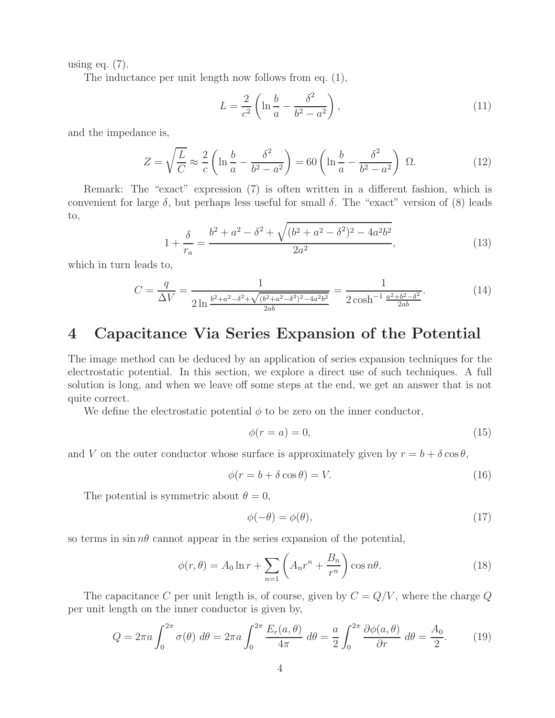using eq.  $(7)$ .

The inductance per unit length now follows from eq. (1),

$$
L = \frac{2}{c^2} \left( \ln \frac{b}{a} - \frac{\delta^2}{b^2 - a^2} \right),\tag{11}
$$

and the impedance is,

$$
Z = \sqrt{\frac{L}{C}} \approx \frac{2}{c} \left( \ln \frac{b}{a} - \frac{\delta^2}{b^2 - a^2} \right) = 60 \left( \ln \frac{b}{a} - \frac{\delta^2}{b^2 - a^2} \right) \Omega.
$$
 (12)

Remark: The "exact" expression (7) is often written in a different fashion, which is convenient for large  $\delta$ , but perhaps less useful for small  $\delta$ . The "exact" version of (8) leads to,

$$
1 + \frac{\delta}{r_a} = \frac{b^2 + a^2 - \delta^2 + \sqrt{(b^2 + a^2 - \delta^2)^2 - 4a^2b^2}}{2a^2},
$$
\n(13)

which in turn leads to,

$$
C = \frac{q}{\Delta V} = \frac{1}{2 \ln \frac{b^2 + a^2 - \delta^2 + \sqrt{(b^2 + a^2 - \delta^2)^2 - 4a^2 b^2}}{2ab}} = \frac{1}{2 \cosh^{-1} \frac{a^2 + b^2 - \delta^2}{2ab}}.
$$
(14)

#### **4 Capacitance Via Series Expansion of the Potential**

The image method can be deduced by an application of series expansion techniques for the electrostatic potential. In this section, we explore a direct use of such techniques. A full solution is long, and when we leave off some steps at the end, we get an answer that is not quite correct.

We define the electrostatic potential  $\phi$  to be zero on the inner conductor,

$$
\phi(r=a) = 0,\tag{15}
$$

and V on the outer conductor whose surface is approximately given by  $r = b + \delta \cos \theta$ ,

$$
\phi(r = b + \delta \cos \theta) = V. \tag{16}
$$

The potential is symmetric about  $\theta = 0$ ,

$$
\phi(-\theta) = \phi(\theta),\tag{17}
$$

so terms in  $\sin n\theta$  cannot appear in the series expansion of the potential,

$$
\phi(r,\theta) = A_0 \ln r + \sum_{n=1}^{\infty} \left( A_n r^n + \frac{B_n}{r^n} \right) \cos n\theta.
$$
 (18)

The capacitance C per unit length is, of course, given by  $C = Q/V$ , where the charge Q per unit length on the inner conductor is given by,

$$
Q = 2\pi a \int_0^{2\pi} \sigma(\theta) \ d\theta = 2\pi a \int_0^{2\pi} \frac{E_r(a,\theta)}{4\pi} \ d\theta = \frac{a}{2} \int_0^{2\pi} \frac{\partial \phi(a,\theta)}{\partial r} \ d\theta = \frac{A_0}{2}.\tag{19}
$$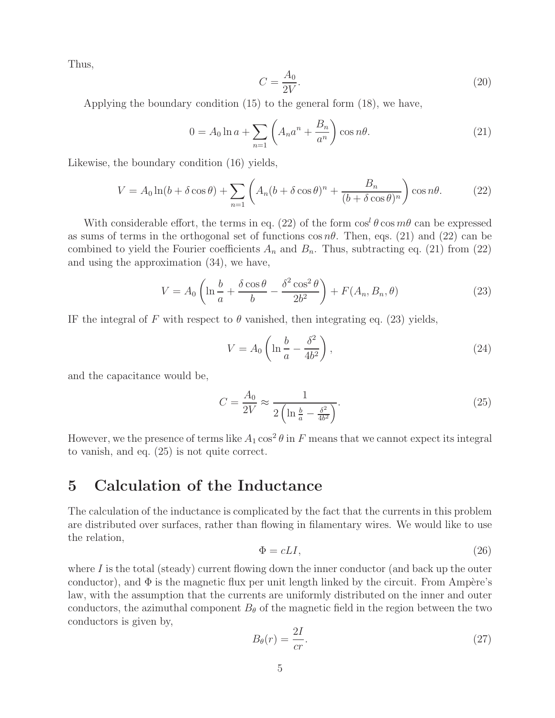Thus,

$$
C = \frac{A_0}{2V}.\tag{20}
$$

Applying the boundary condition (15) to the general form (18), we have,

$$
0 = A_0 \ln a + \sum_{n=1} \left( A_n a^n + \frac{B_n}{a^n} \right) \cos n\theta.
$$
 (21)

Likewise, the boundary condition (16) yields,

$$
V = A_0 \ln(b + \delta \cos \theta) + \sum_{n=1}^{\infty} \left( A_n (b + \delta \cos \theta)^n + \frac{B_n}{(b + \delta \cos \theta)^n} \right) \cos n\theta.
$$
 (22)

With considerable effort, the terms in eq. (22) of the form  $\cos^l \theta \cos m\theta$  can be expressed as sums of terms in the orthogonal set of functions  $\cos n\theta$ . Then, eqs. (21) and (22) can be combined to yield the Fourier coefficients  $A_n$  and  $B_n$ . Thus, subtracting eq. (21) from (22) and using the approximation (34), we have,

$$
V = A_0 \left( \ln \frac{b}{a} + \frac{\delta \cos \theta}{b} - \frac{\delta^2 \cos^2 \theta}{2b^2} \right) + F(A_n, B_n, \theta)
$$
 (23)

IF the integral of F with respect to  $\theta$  vanished, then integrating eq. (23) yields,

$$
V = A_0 \left( \ln \frac{b}{a} - \frac{\delta^2}{4b^2} \right),\tag{24}
$$

and the capacitance would be,

$$
C = \frac{A_0}{2V} \approx \frac{1}{2\left(\ln\frac{b}{a} - \frac{\delta^2}{4b^2}\right)}.\tag{25}
$$

However, we the presence of terms like  $A_1 \cos^2 \theta$  in F means that we cannot expect its integral to vanish, and eq. (25) is not quite correct.

### **5 Calculation of the Inductance**

The calculation of the inductance is complicated by the fact that the currents in this problem are distributed over surfaces, rather than flowing in filamentary wires. We would like to use the relation,

$$
\Phi = cLI,\tag{26}
$$

where  $I$  is the total (steady) current flowing down the inner conductor (and back up the outer conductor), and  $\Phi$  is the magnetic flux per unit length linked by the circuit. From Ampère's law, with the assumption that the currents are uniformly distributed on the inner and outer conductors, the azimuthal component  $B_{\theta}$  of the magnetic field in the region between the two conductors is given by,

$$
B_{\theta}(r) = \frac{2I}{cr}.\tag{27}
$$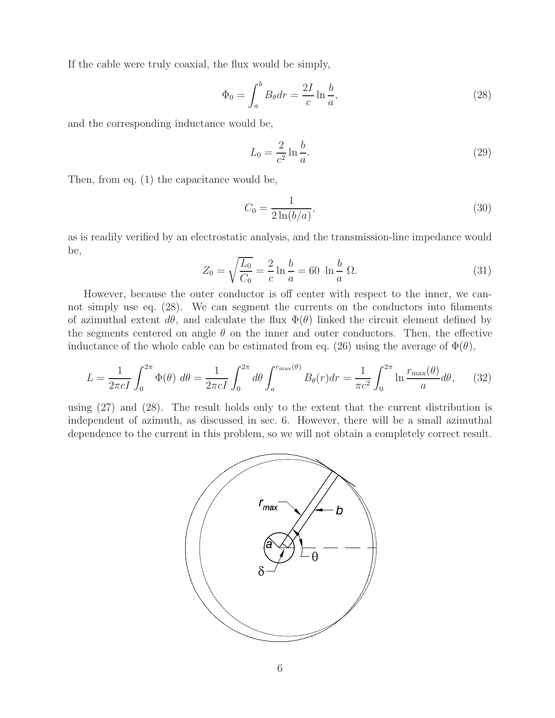If the cable were truly coaxial, the flux would be simply,

$$
\Phi_0 = \int_a^b B_\theta dr = \frac{2I}{c} \ln \frac{b}{a},\tag{28}
$$

and the corresponding inductance would be,

$$
L_0 = \frac{2}{c^2} \ln \frac{b}{a}.\tag{29}
$$

Then, from eq. (1) the capacitance would be,

$$
C_0 = \frac{1}{2\ln(b/a)},
$$
\n(30)

as is readily verified by an electrostatic analysis, and the transmission-line impedance would be,

$$
Z_0 = \sqrt{\frac{L_0}{C_0}} = \frac{2}{c} \ln \frac{b}{a} = 60 \ln \frac{b}{a} \Omega.
$$
 (31)

However, because the outer conductor is off center with respect to the inner, we cannot simply use eq. (28). We can segment the currents on the conductors into filaments of azimuthal extent  $d\theta$ , and calculate the flux  $\Phi(\theta)$  linked the circuit element defined by the segments centered on angle  $\theta$  on the inner and outer conductors. Then, the effective inductance of the whole cable can be estimated from eq. (26) using the average of  $\Phi(\theta)$ ,

$$
L = \frac{1}{2\pi cI} \int_0^{2\pi} \Phi(\theta) d\theta = \frac{1}{2\pi cI} \int_0^{2\pi} d\theta \int_a^{r_{\text{max}}(\theta)} B_\theta(r) dr = \frac{1}{\pi c^2} \int_0^{2\pi} \ln \frac{r_{\text{max}}(\theta)}{a} d\theta, \quad (32)
$$

using (27) and (28). The result holds only to the extent that the current distribution is independent of azimuth, as discussed in sec. 6. However, there will be a small azimuthal dependence to the current in this problem, so we will not obtain a completely correct result.

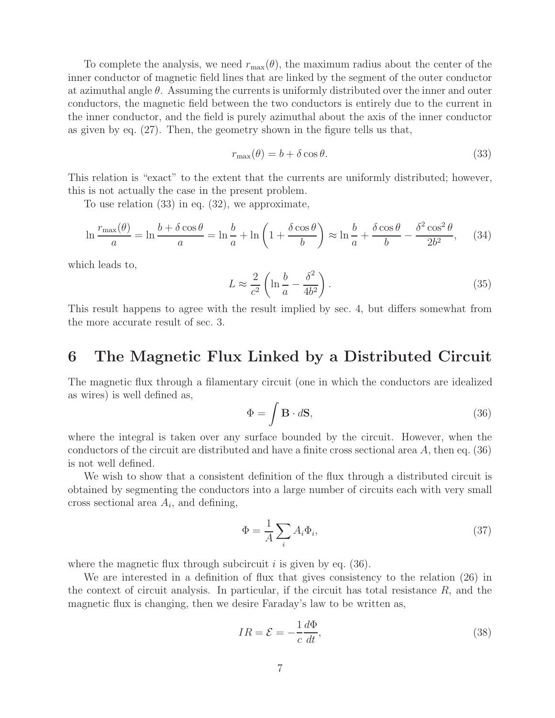To complete the analysis, we need  $r_{\text{max}}(\theta)$ , the maximum radius about the center of the inner conductor of magnetic field lines that are linked by the segment of the outer conductor at azimuthal angle  $\theta$ . Assuming the currents is uniformly distributed over the inner and outer conductors, the magnetic field between the two conductors is entirely due to the current in the inner conductor, and the field is purely azimuthal about the axis of the inner conductor as given by eq. (27). Then, the geometry shown in the figure tells us that,

$$
r_{\text{max}}(\theta) = b + \delta \cos \theta. \tag{33}
$$

This relation is "exact" to the extent that the currents are uniformly distributed; however, this is not actually the case in the present problem.

To use relation (33) in eq. (32), we approximate,

$$
\ln \frac{r_{\text{max}}(\theta)}{a} = \ln \frac{b + \delta \cos \theta}{a} = \ln \frac{b}{a} + \ln \left( 1 + \frac{\delta \cos \theta}{b} \right) \approx \ln \frac{b}{a} + \frac{\delta \cos \theta}{b} - \frac{\delta^2 \cos^2 \theta}{2b^2},\tag{34}
$$

which leads to,

$$
L \approx \frac{2}{c^2} \left( \ln \frac{b}{a} - \frac{\delta^2}{4b^2} \right). \tag{35}
$$

This result happens to agree with the result implied by sec. 4, but differs somewhat from the more accurate result of sec. 3.

#### **6 The Magnetic Flux Linked by a Distributed Circuit**

The magnetic flux through a filamentary circuit (one in which the conductors are idealized as wires) is well defined as,

$$
\Phi = \int \mathbf{B} \cdot d\mathbf{S},\tag{36}
$$

where the integral is taken over any surface bounded by the circuit. However, when the conductors of the circuit are distributed and have a finite cross sectional area A, then eq. (36) is not well defined.

We wish to show that a consistent definition of the flux through a distributed circuit is obtained by segmenting the conductors into a large number of circuits each with very small cross sectional area  $A_i$ , and defining,

$$
\Phi = \frac{1}{A} \sum_{i} A_i \Phi_i,\tag{37}
$$

where the magnetic flux through subcircuit  $i$  is given by eq. (36).

We are interested in a definition of flux that gives consistency to the relation (26) in the context of circuit analysis. In particular, if the circuit has total resistance  $R$ , and the magnetic flux is changing, then we desire Faraday's law to be written as,

$$
IR = \mathcal{E} = -\frac{1}{c} \frac{d\Phi}{dt},\tag{38}
$$